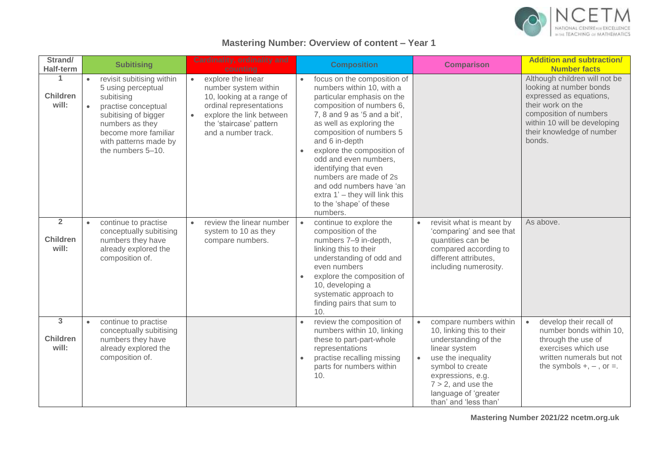

## **Mastering Number: Overview of content – Year 1**

| Strand/<br><b>Half-term</b>                | <b>Subitising</b>                                                                                                                                                                                                               | <b>Cardinality, ordinality and</b><br>counting                                                                                                                                                             | <b>Composition</b>                                                                                                                                                                                                                                                                                                                                                                                                                                         | <b>Comparison</b>                                                                                                                                                                                                                                               | <b>Addition and subtraction/</b><br><b>Number facts</b>                                                                                                                                                   |
|--------------------------------------------|---------------------------------------------------------------------------------------------------------------------------------------------------------------------------------------------------------------------------------|------------------------------------------------------------------------------------------------------------------------------------------------------------------------------------------------------------|------------------------------------------------------------------------------------------------------------------------------------------------------------------------------------------------------------------------------------------------------------------------------------------------------------------------------------------------------------------------------------------------------------------------------------------------------------|-----------------------------------------------------------------------------------------------------------------------------------------------------------------------------------------------------------------------------------------------------------------|-----------------------------------------------------------------------------------------------------------------------------------------------------------------------------------------------------------|
| 1<br><b>Children</b><br>will:              | revisit subitising within<br>$\bullet$<br>5 using perceptual<br>subitising<br>practise conceptual<br>$\bullet$<br>subitising of bigger<br>numbers as they<br>become more familiar<br>with patterns made by<br>the numbers 5-10. | explore the linear<br>$\bullet$<br>number system within<br>10, looking at a range of<br>ordinal representations<br>explore the link between<br>$\bullet$<br>the 'staircase' pattern<br>and a number track. | focus on the composition of<br>numbers within 10, with a<br>particular emphasis on the<br>composition of numbers 6,<br>7, 8 and 9 as $5$ and a bit',<br>as well as exploring the<br>composition of numbers 5<br>and 6 in-depth<br>explore the composition of<br>$\bullet$<br>odd and even numbers.<br>identifying that even<br>numbers are made of 2s<br>and odd numbers have 'an<br>extra 1' - they will link this<br>to the 'shape' of these<br>numbers. |                                                                                                                                                                                                                                                                 | Although children will not be<br>looking at number bonds<br>expressed as equations,<br>their work on the<br>composition of numbers<br>within 10 will be developing<br>their knowledge of number<br>bonds. |
| $\overline{2}$<br><b>Children</b><br>will: | continue to practise<br>$\bullet$<br>conceptually subitising<br>numbers they have<br>already explored the<br>composition of.                                                                                                    | review the linear number<br>$\bullet$<br>system to 10 as they<br>compare numbers.                                                                                                                          | continue to explore the<br>$\bullet$<br>composition of the<br>numbers 7-9 in-depth,<br>linking this to their<br>understanding of odd and<br>even numbers<br>explore the composition of<br>10, developing a<br>systematic approach to<br>finding pairs that sum to<br>10.                                                                                                                                                                                   | revisit what is meant by<br>$\bullet$<br>'comparing' and see that<br>quantities can be<br>compared according to<br>different attributes,<br>including numerosity.                                                                                               | As above.                                                                                                                                                                                                 |
| 3<br><b>Children</b><br>will:              | continue to practise<br>$\bullet$<br>conceptually subitising<br>numbers they have<br>already explored the<br>composition of.                                                                                                    |                                                                                                                                                                                                            | review the composition of<br>numbers within 10, linking<br>these to part-part-whole<br>representations<br>practise recalling missing<br>parts for numbers within<br>10.                                                                                                                                                                                                                                                                                    | compare numbers within<br>$\bullet$<br>10, linking this to their<br>understanding of the<br>linear system<br>use the inequality<br>$\bullet$<br>symbol to create<br>expressions, e.g.<br>$7 > 2$ , and use the<br>language of 'greater<br>than' and 'less than' | develop their recall of<br>$\bullet$<br>number bonds within 10,<br>through the use of<br>exercises which use<br>written numerals but not<br>the symbols $+, -$ , or $=$ .                                 |

**Mastering Number 2021/22 ncetm.org.uk**